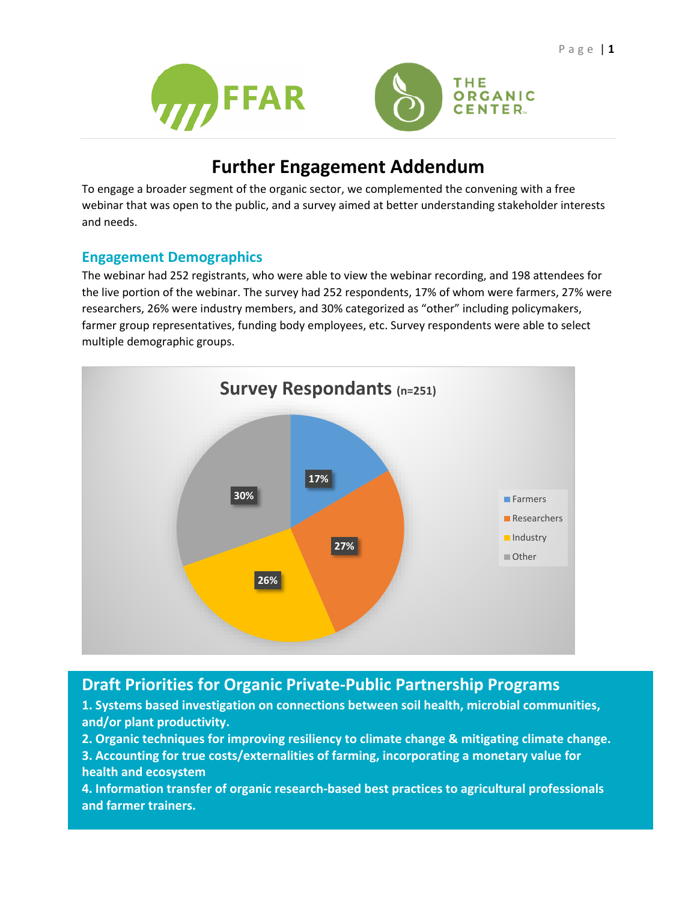



# **Further Engagement Addendum**

To engage a broader segment of the organic sector, we complemented the convening with a free webinar that was open to the public, and a survey aimed at better understanding stakeholder interests and needs.

# **Engagement Demographics**

The webinar had 252 registrants, who were able to view the webinar recording, and 198 attendees for the live portion of the webinar. The survey had 252 respondents, 17% of whom were farmers, 27% were researchers, 26% were industry members, and 30% categorized as "other" including policymakers, farmer group representatives, funding body employees, etc. Survey respondents were able to select multiple demographic groups.



# **Draft Priorities for Organic Private-Public Partnership Programs**

**1. Systems based investigation on connections between soil health, microbial communities, and/or plant productivity.**

**2. Organic techniques for improving resiliency to climate change & mitigating climate change.**

**3. Accounting for true costs/externalities of farming, incorporating a monetary value for health and ecosystem** 

**4. Information transfer of organic research-based best practices to agricultural professionals and farmer trainers.**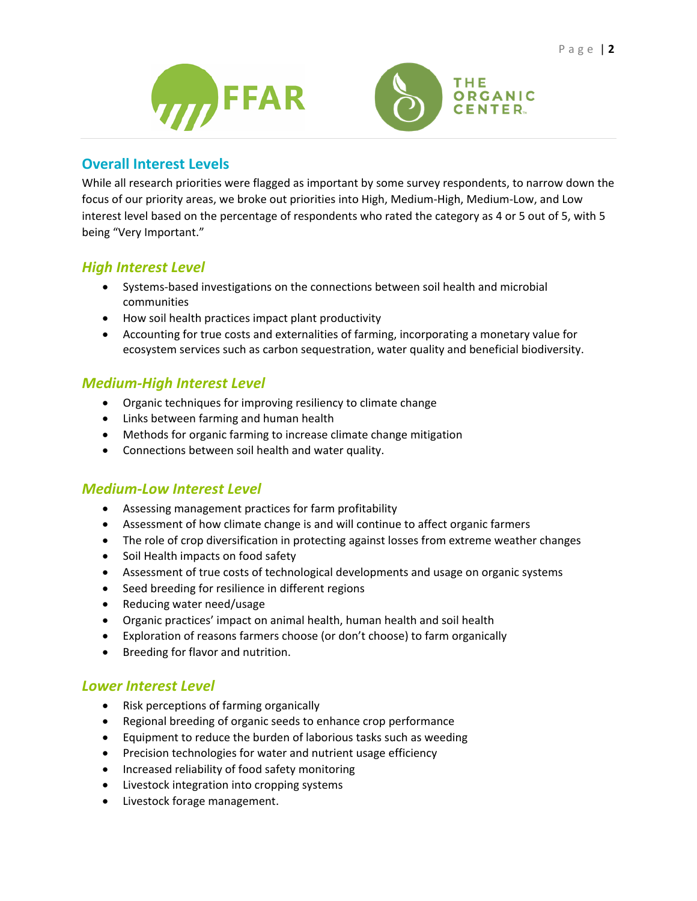



### **Overall Interest Levels**

While all research priorities were flagged as important by some survey respondents, to narrow down the focus of our priority areas, we broke out priorities into High, Medium-High, Medium-Low, and Low interest level based on the percentage of respondents who rated the category as 4 or 5 out of 5, with 5 being "Very Important."

# *High Interest Level*

- Systems-based investigations on the connections between soil health and microbial communities
- How soil health practices impact plant productivity
- Accounting for true costs and externalities of farming, incorporating a monetary value for ecosystem services such as carbon sequestration, water quality and beneficial biodiversity.

#### *Medium-High Interest Level*

- Organic techniques for improving resiliency to climate change
- Links between farming and human health
- Methods for organic farming to increase climate change mitigation
- Connections between soil health and water quality.

#### *Medium-Low Interest Level*

- Assessing management practices for farm profitability
- Assessment of how climate change is and will continue to affect organic farmers
- The role of crop diversification in protecting against losses from extreme weather changes
- Soil Health impacts on food safety
- Assessment of true costs of technological developments and usage on organic systems
- Seed breeding for resilience in different regions
- Reducing water need/usage
- Organic practices' impact on animal health, human health and soil health
- Exploration of reasons farmers choose (or don't choose) to farm organically
- Breeding for flavor and nutrition.

#### *Lower Interest Level*

- Risk perceptions of farming organically
- Regional breeding of organic seeds to enhance crop performance
- Equipment to reduce the burden of laborious tasks such as weeding
- Precision technologies for water and nutrient usage efficiency
- Increased reliability of food safety monitoring
- Livestock integration into cropping systems
- Livestock forage management.